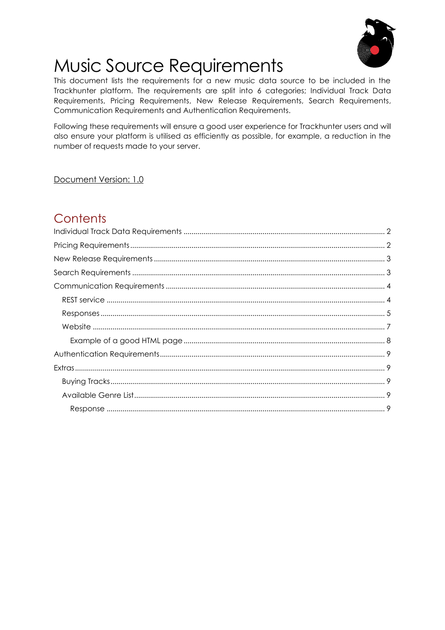

# Music Source Requirements

This document lists the requirements for a new music data source to be included in the Trackhunter platform. The requirements are split into 6 categories; Individual Track Data Requirements, Pricing Requirements, New Release Requirements, Search Requirements, Communication Requirements and Authentication Requirements.

Following these requirements will ensure a good user experience for Trackhunter users and will also ensure your platform is utilised as efficiently as possible, for example, a reduction in the number of requests made to your server.

### Document Version: 1.0

# Contents

<span id="page-0-0"></span>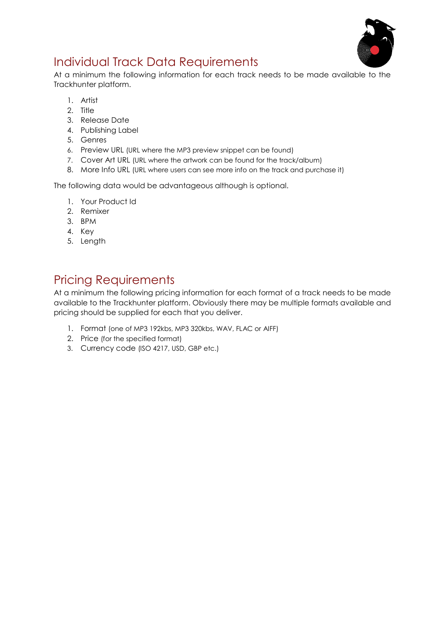

# <span id="page-1-0"></span>Individual Track Data Requirements

At a minimum the following information for each track needs to be made available to the Trackhunter platform.

- 1. Artist
- 2. Title
- 3. Release Date
- 4. Publishing Label
- 5. Genres
- 6. Preview URL (URL where the MP3 preview snippet can be found)
- 7. Cover Art URL (URL where the artwork can be found for the track/album)
- 8. More Info URL (URL where users can see more info on the track and purchase it)

The following data would be advantageous although is optional.

- 1. Your Product Id
- 2. Remixer
- 3. BPM
- 4. Key
- 5. Length

# <span id="page-1-1"></span>Pricing Requirements

At a minimum the following pricing information for each format of a track needs to be made available to the Trackhunter platform. Obviously there may be multiple formats available and pricing should be supplied for each that you deliver.

- 1. Format (one of MP3 192kbs, MP3 320kbs, WAV, FLAC or AIFF)
- 2. Price (for the specified format)
- 3. Currency code (ISO 4217, USD, GBP etc.)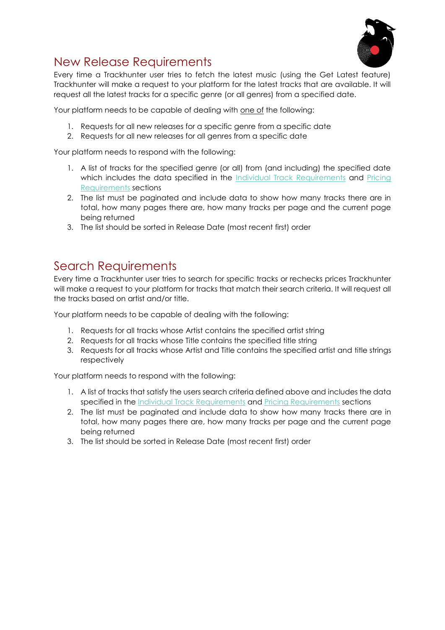

# <span id="page-2-0"></span>New Release Requirements

Every time a Trackhunter user tries to fetch the latest music (using the Get Latest feature) Trackhunter will make a request to your platform for the latest tracks that are available. It will request all the latest tracks for a specific genre (or all genres) from a specified date.

Your platform needs to be capable of dealing with one of the following:

- 1. Requests for all new releases for a specific genre from a specific date
- 2. Requests for all new releases for all genres from a specific date

Your platform needs to respond with the following:

- 1. A list of tracks for the specified genre (or all) from (and including) the specified date which includes the data specified in the [Individual Track](#page-1-0) Requirements and Pricing [Requirements](#page-1-1) sections
- 2. The list must be paginated and include data to show how many tracks there are in total, how many pages there are, how many tracks per page and the current page being returned
- 3. The list should be sorted in Release Date (most recent first) order

# <span id="page-2-1"></span>Search Requirements

Every time a Trackhunter user tries to search for specific tracks or rechecks prices Trackhunter will make a request to your platform for tracks that match their search criteria. It will request all the tracks based on artist and/or title.

Your platform needs to be capable of dealing with the following:

- 1. Requests for all tracks whose Artist contains the specified artist string
- 2. Requests for all tracks whose Title contains the specified title string
- 3. Requests for all tracks whose Artist and Title contains the specified artist and title strings respectively

Your platform needs to respond with the following:

- 1. A list of tracks that satisfy the users search criteria defined above and includes the data specified in the [Individual Track Requirements](#page-1-0) an[d Pricing Requirements](#page-1-1) sections
- 2. The list must be paginated and include data to show how many tracks there are in total, how many pages there are, how many tracks per page and the current page being returned
- 3. The list should be sorted in Release Date (most recent first) order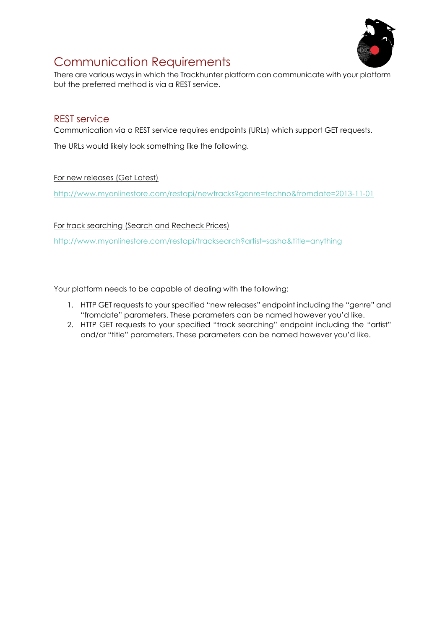

# <span id="page-3-0"></span>Communication Requirements

There are various ways in which the Trackhunter platform can communicate with your platform but the preferred method is via a REST service.

### <span id="page-3-1"></span>REST service

Communication via a REST service requires endpoints (URLs) which support GET requests.

The URLs would likely look something like the following.

#### For new releases (Get Latest)

<http://www.myonlinestore.com/restapi/newtracks?genre=techno&fromdate=2013-11-01>

For track searching (Search and Recheck Prices)

<http://www.myonlinestore.com/restapi/tracksearch?artist=sasha&title=anything>

Your platform needs to be capable of dealing with the following:

- 1. HTTP GET requests to your specified "new releases" endpoint including the "genre" and "fromdate" parameters. These parameters can be named however you'd like.
- 2. HTTP GET requests to your specified "track searching" endpoint including the "artist" and/or "title" parameters. These parameters can be named however you'd like.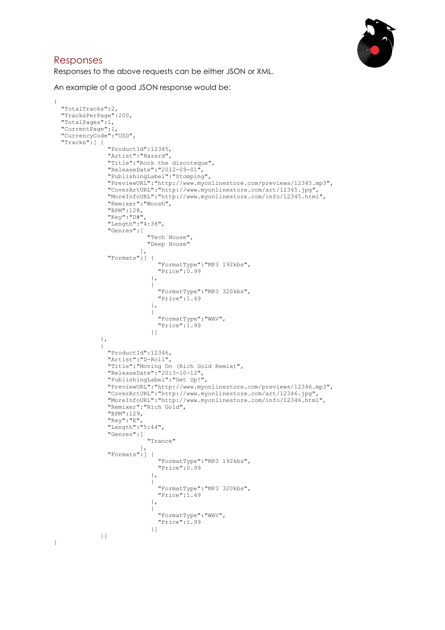

### <span id="page-4-0"></span>Responses

{

Responses to the above requests can be either JSON or XML.

An example of a good JSON response would be:

```
 "TotalTracks":2,
  "TracksPerPage":200,
  "TotalPages":1,
  "CurrentPage":1,
  "CurrencyCode":"USD",
  "Tracks":[ {
              "ProductId":12345,
              "Artist":"Hazard",
              "Title":"Rock the discoteque",
              "ReleaseDate":"2012-09-01",
              "PublishingLabel":"Stomping",
              "PreviewURL":"http://www.myonlinestore.com/previews/12345.mp3",
              "CoverArtURL":"http://www.myonlinestore.com/art/12345.jpg",
              "MoreInfoURL":"http://www.myonlinestore.com/info/12345.html",
              "Remixer":"Woosh",
              "BPM":128,
              "Key":"D#",
              "Length":"4:38",
              "Genres":[
                        "Tech House",
                        "Deep House"
\mathbf{I},
 "Formats":[ {
                          "FormatType":"MP3 192kbs",
                         "Price":0.99
 },
                        {
                          "FormatType":"MP3 320kbs",
                          "Price":1.49
 },
                        \left\{ \begin{array}{c} \circ \\ \circ \\ \circ \end{array} \right. "FormatType":"WAV",
                         "Price":1.99
 }]
            },
\{ "ProductId":12346,
              "Artist":"D-Roll",
 "Title":"Moving On (Rich Gold Remix)",
 "ReleaseDate":"2013-10-12",
              "PublishingLabel":"Get Up!",
              "PreviewURL":"http://www.myonlinestore.com/previews/12346.mp3",
              "CoverArtURL":"http://www.myonlinestore.com/art/12346.jpg",
              "MoreInfoURL":"http://www.myonlinestore.com/info/12346.html",
              "Remixer":"Rich Gold",
              "BPM":129,
 "Key":"E",
 "Length":"5:44",
              "Genres":[
                        "Trance"
 ],
              "Formats":[ {
                          "FormatType":"MP3 192kbs",
                         "Price":0.99
 },
                        {
                          "FormatType":"MP3 320kbs",
                         "Price":1.49
 },
{<br>}
                          "FormatType":"WAV",
                       "Price":1.99
 }]
            }]
```
}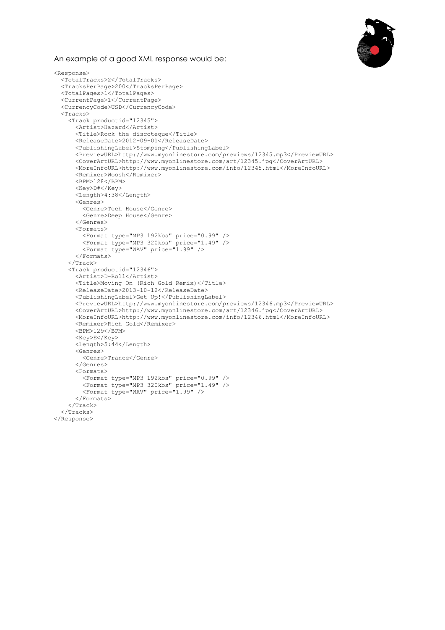

#### An example of a good XML response would be:

```
<Response>
   <TotalTracks>2</TotalTracks>
   <TracksPerPage>200</TracksPerPage>
   <TotalPages>1</TotalPages>
   <CurrentPage>1</CurrentPage>
   <CurrencyCode>USD</CurrencyCode>
   <Tracks>
     <Track productid="12345">
       <Artist>Hazard</Artist>
       <Title>Rock the discoteque</Title>
       <ReleaseDate>2012-09-01</ReleaseDate>
       <PublishingLabel>Stomping</PublishingLabel>
       <PreviewURL>http://www.myonlinestore.com/previews/12345.mp3</PreviewURL>
       <CoverArtURL>http://www.myonlinestore.com/art/12345.jpg</CoverArtURL>
       <MoreInfoURL>http://www.myonlinestore.com/info/12345.html</MoreInfoURL>
       <Remixer>Woosh</Remixer>
       <BPM>128</BPM>
       <Key>D#</Key>
       <Length>4:38</Length>
       <Genres>
         <Genre>Tech House</Genre>
         <Genre>Deep House</Genre>
       </Genres>
       <Formats>
 <Format type="MP3 192kbs" price="0.99" />
 <Format type="MP3 320kbs" price="1.49" />
         <Format type="WAV" price="1.99" />
       </Formats>
     </Track>
     <Track productid="12346">
       <Artist>D-Roll</Artist>
       <Title>Moving On (Rich Gold Remix)</Title>
       <ReleaseDate>2013-10-12</ReleaseDate>
       <PublishingLabel>Get Up!</PublishingLabel>
       <PreviewURL>http://www.myonlinestore.com/previews/12346.mp3</PreviewURL>
       <CoverArtURL>http://www.myonlinestore.com/art/12346.jpg</CoverArtURL>
       <MoreInfoURL>http://www.myonlinestore.com/info/12346.html</MoreInfoURL>
       <Remixer>Rich Gold</Remixer>
       <BPM>129</BPM>
       <Key>E</Key>
       <Length>5:44</Length>
       <Genres>
         <Genre>Trance</Genre>
       </Genres>
       <Formats>
         <Format type="MP3 192kbs" price="0.99" />
         <Format type="MP3 320kbs" price="1.49" />
         <Format type="WAV" price="1.99" />
       </Formats>
    \langleTrack>
   </Tracks>
</Response>
```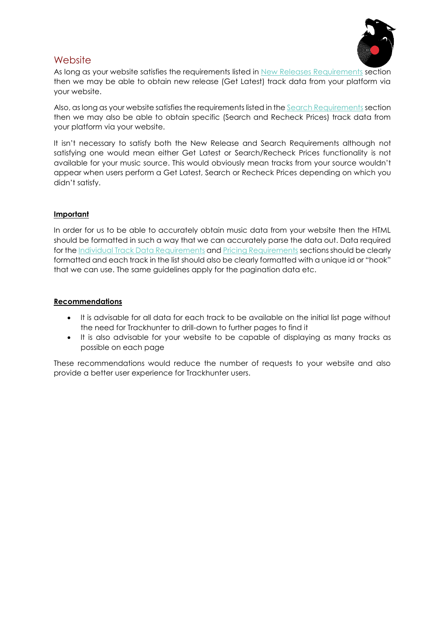

### <span id="page-6-0"></span>**Website**

As long as your website satisfies the requirements listed in [New Releases Requirements](#page-2-0) section then we may be able to obtain new release (Get Latest) track data from your platform via your website.

Also, as long as your website satisfies the requirements listed in the [Search Requirements](#page-2-1) section then we may also be able to obtain specific (Search and Recheck Prices) track data from your platform via your website.

It isn't necessary to satisfy both the New Release and Search Requirements although not satisfying one would mean either Get Latest or Search/Recheck Prices functionality is not available for your music source. This would obviously mean tracks from your source wouldn't appear when users perform a Get Latest, Search or Recheck Prices depending on which you didn't satisfy.

#### **Important**

In order for us to be able to accurately obtain music data from your website then the HTML should be formatted in such a way that we can accurately parse the data out. Data required for the [Individual Track Data Requirements](#page-0-0) an[d Pricing Requirements](#page-1-1) sections should be clearly formatted and each track in the list should also be clearly formatted with a unique id or "hook" that we can use. The same guidelines apply for the pagination data etc.

#### **Recommendations**

- It is advisable for all data for each track to be available on the initial list page without the need for Trackhunter to drill-down to further pages to find it
- It is also advisable for your website to be capable of displaying as many tracks as possible on each page

These recommendations would reduce the number of requests to your website and also provide a better user experience for Trackhunter users.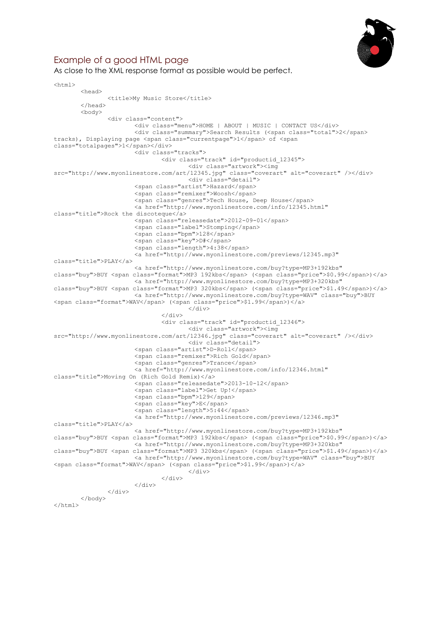

### <span id="page-7-0"></span>Example of a good HTML page

As close to the XML response format as possible would be perfect.

```
<h+ml><head>
                 <title>My Music Store</title>
        </head>
        <body>
                 <div class="content">
                          <div class="menu">HOME | ABOUT | MUSIC | CONTACT US</div>
                          <div class="summary">Search Results (<span class="total">2</span> 
tracks), Displaying page <span class="currentpage">1</span> of <span
class="totalpages">1</span></div>
                          <div class="tracks">
                                   <div class="track" id="productid_12345">
                                           <div class="artwork"><img 
src="http://www.myonlinestore.com/art/12345.jpg" class="coverart" alt="coverart" /></div>
                                           <div class="detail">
                           <span class="artist">Hazard</span>
                          <span class="remixer">Woosh</span>
                           <span class="genres">Tech House, Deep House</span>
                           <a href="http://www.myonlinestore.com/info/12345.html" 
class="title">Rock the discoteque</a>
                           <span class="releasedate">2012-09-01</span>
                          <span class="label">Stomping</span>
                           <span class="bpm">128</span>
                           <span class="key">D#</span>
                           <span class="length">4:38</span>
                           <a href="http://www.myonlinestore.com/previews/12345.mp3" 
class="title">PLAY</a>
                           <a href="http://www.myonlinestore.com/buy?type=MP3+192kbs" 
class="buy">BUY <span class="format">MP3 192kbs</span> (<span class="price">$0.99</span>)</a>
                           <a href="http://www.myonlinestore.com/buy?type=MP3+320kbs" 
class="buy">BUY <span class="format">MP3 320kbs</span> (<span class="price">$1.49</span>)</a>
                           <a href="http://www.myonlinestore.com/buy?type=WAV" class="buy">BUY 
<span class="format">WAV</span> (<span class="price">$1.99</span>)</a>
                                           \langlediv>\langlediv\rangle<div class="track" id="productid_12346">
                                           <div class="artwork"><img 
src="http://www.myonlinestore.com/art/12346.jpg" class="coverart" alt="coverart" /></div>
                                           <div class="detail">
                           <span class="artist">D-Roll</span>
                           <span class="remixer">Rich Gold</span>
                           <span class="genres">Trance</span>
                           <a href="http://www.myonlinestore.com/info/12346.html" 
class="title">Moving On (Rich Gold Remix)</a>
                           <span class="releasedate">2013-10-12</span>
                           <span class="label">Get Up!</span>
                          <span class="bpm">129</span>
                           <span class="key">E</span>
                          \epsilon = \epsilon = \epsilon = \epsilon = \epsilon = \epsilon = \epsilon = \epsilon = \epsilon = \epsilon = \epsilon = \epsilon = \epsilon = \epsilon = \epsilon = \epsilon = \epsilon = \epsilon = \epsilon = \epsilon = \epsilon = \epsilon = \epsilon = \epsilon = \epsilon = \epsilon = \epsilon = \epsilon = \epsilon = \epsilon = \epsilon = \epsilon <a href="http://www.myonlinestore.com/previews/12346.mp3" 
class="title">PLAY</a>
                           <a href="http://www.myonlinestore.com/buy?type=MP3+192kbs" 
class="buy">BUY <span class="format">MP3 192kbs</span> (<span class="price">$0.99</span>)</a>
                           <a href="http://www.myonlinestore.com/buy?type=MP3+320kbs" 
class="buy">BUY <span class="format">MP3 320kbs</span> (<span class="price">$1.49</span>)</a>
                           <a href="http://www.myonlinestore.com/buy?type=WAV" class="buy">BUY 
<span class="format">WAV</span> (<span class="price">$1.99</span>)</a>
                                           \langle/div\rangle\langlediv>\langlediv></div>
         </body>
</html>
```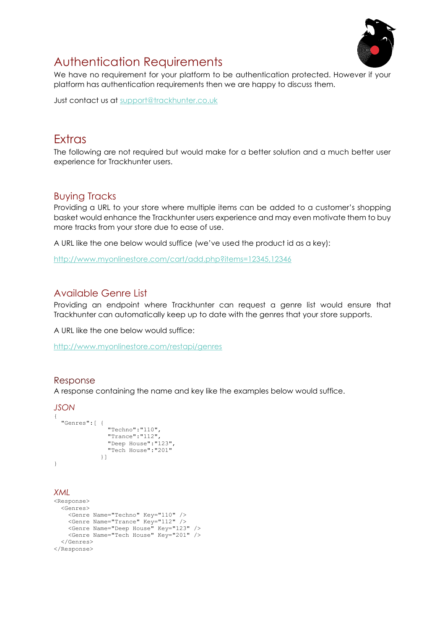

# <span id="page-8-0"></span>Authentication Requirements

We have no requirement for your platform to be authentication protected. However if your platform has authentication requirements then we are happy to discuss them.

Just contact us at [support@trackhunter.co.uk](mailto:support@trackhunter.co.uk)

## <span id="page-8-1"></span>**Extras**

The following are not required but would make for a better solution and a much better user experience for Trackhunter users.

### <span id="page-8-2"></span>Buying Tracks

Providing a URL to your store where multiple items can be added to a customer's shopping basket would enhance the Trackhunter users experience and may even motivate them to buy more tracks from your store due to ease of use.

A URL like the one below would suffice (we've used the product id as a key):

<http://www.myonlinestore.com/cart/add.php?items=12345,12346>

### <span id="page-8-3"></span>Available Genre List

Providing an endpoint where Trackhunter can request a genre list would ensure that Trackhunter can automatically keep up to date with the genres that your store supports.

A URL like the one below would suffice:

<http://www.myonlinestore.com/restapi/genres>

### <span id="page-8-4"></span>Response

A response containing the name and key like the examples below would suffice.

### *JSON*

```
{
   "Genres":[ {
                 "Techno":"110",
                 "Trance":"112",
                 "Deep House":"123",
                 "Tech House":"201"
               }]
}
```
#### *XML*

```
<Response>
   <Genres>
     <Genre Name="Techno" Key="110" />
     <Genre Name="Trance" Key="112" />
     <Genre Name="Deep House" Key="123" />
    <Genre Name="Tech House" Key="201" />
   </Genres>
</Response>
```